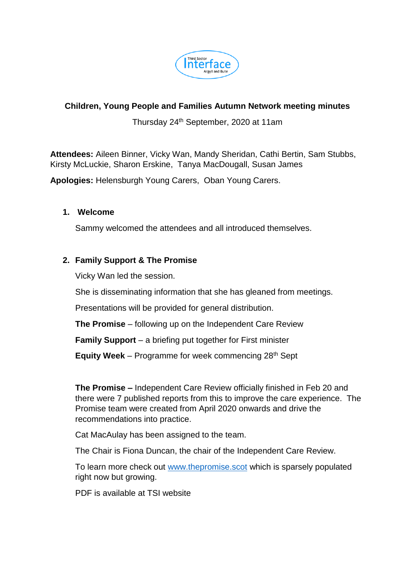

## **Children, Young People and Families Autumn Network meeting minutes**

Thursday 24th September, 2020 at 11am

**Attendees:** Aileen Binner, Vicky Wan, Mandy Sheridan, Cathi Bertin, Sam Stubbs, Kirsty McLuckie, Sharon Erskine, Tanya MacDougall, Susan James

**Apologies:** Helensburgh Young Carers, Oban Young Carers.

#### **1. Welcome**

Sammy welcomed the attendees and all introduced themselves.

## **2. Family Support & The Promise**

Vicky Wan led the session.

She is disseminating information that she has gleaned from meetings.

Presentations will be provided for general distribution.

**The Promise** – following up on the Independent Care Review

**Family Support** – a briefing put together for First minister

**Equity Week** – Programme for week commencing 28<sup>th</sup> Sept

**The Promise –** Independent Care Review officially finished in Feb 20 and there were 7 published reports from this to improve the care experience. The Promise team were created from April 2020 onwards and drive the recommendations into practice.

Cat MacAulay has been assigned to the team.

The Chair is Fiona Duncan, the chair of the Independent Care Review.

To learn more check out [www.thepromise.scot](http://www.thepromise.scot/) which is sparsely populated right now but growing.

PDF is available at TSI website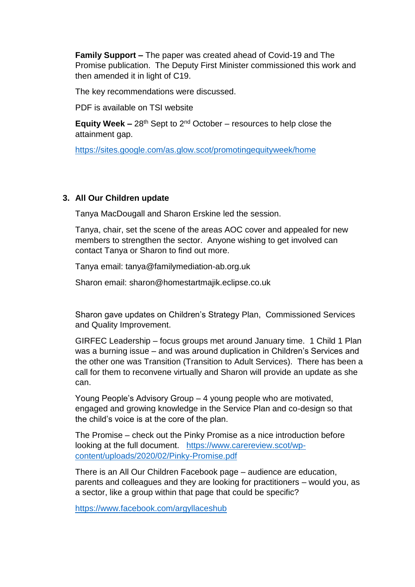**Family Support –** The paper was created ahead of Covid-19 and The Promise publication. The Deputy First Minister commissioned this work and then amended it in light of C19.

The key recommendations were discussed.

PDF is available on TSI website

**Equity Week –** 28<sup>th</sup> Sept to 2<sup>nd</sup> October – resources to help close the attainment gap.

<https://sites.google.com/as.glow.scot/promotingequityweek/home>

#### **3. All Our Children update**

Tanya MacDougall and Sharon Erskine led the session.

Tanya, chair, set the scene of the areas AOC cover and appealed for new members to strengthen the sector. Anyone wishing to get involved can contact Tanya or Sharon to find out more.

Tanya email: tanya@familymediation-ab.org.uk

Sharon email: sharon@homestartmajik.eclipse.co.uk

Sharon gave updates on Children's Strategy Plan, Commissioned Services and Quality Improvement.

GIRFEC Leadership – focus groups met around January time. 1 Child 1 Plan was a burning issue – and was around duplication in Children's Services and the other one was Transition (Transition to Adult Services). There has been a call for them to reconvene virtually and Sharon will provide an update as she can.

Young People's Advisory Group – 4 young people who are motivated, engaged and growing knowledge in the Service Plan and co-design so that the child's voice is at the core of the plan.

The Promise – check out the Pinky Promise as a nice introduction before looking at the full document. [https://www.carereview.scot/wp](https://www.carereview.scot/wp-content/uploads/2020/02/Pinky-Promise.pdf)[content/uploads/2020/02/Pinky-Promise.pdf](https://www.carereview.scot/wp-content/uploads/2020/02/Pinky-Promise.pdf)

There is an All Our Children Facebook page – audience are education, parents and colleagues and they are looking for practitioners – would you, as a sector, like a group within that page that could be specific?

<https://www.facebook.com/argyllaceshub>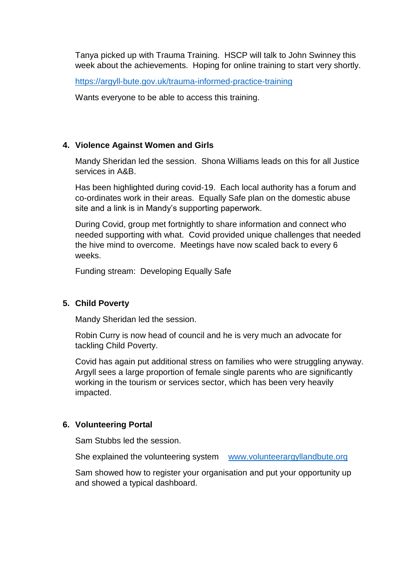Tanya picked up with Trauma Training. HSCP will talk to John Swinney this week about the achievements. Hoping for online training to start very shortly.

<https://argyll-bute.gov.uk/trauma-informed-practice-training>

Wants everyone to be able to access this training.

# **4. Violence Against Women and Girls**

Mandy Sheridan led the session. Shona Williams leads on this for all Justice services in A&B.

Has been highlighted during covid-19. Each local authority has a forum and co-ordinates work in their areas. Equally Safe plan on the domestic abuse site and a link is in Mandy's supporting paperwork.

During Covid, group met fortnightly to share information and connect who needed supporting with what. Covid provided unique challenges that needed the hive mind to overcome. Meetings have now scaled back to every 6 weeks.

Funding stream: Developing Equally Safe

## **5. Child Poverty**

Mandy Sheridan led the session.

Robin Curry is now head of council and he is very much an advocate for tackling Child Poverty.

Covid has again put additional stress on families who were struggling anyway. Argyll sees a large proportion of female single parents who are significantly working in the tourism or services sector, which has been very heavily impacted.

## **6. Volunteering Portal**

Sam Stubbs led the session.

She explained the volunteering system [www.volunteerargyllandbute.org](http://www.volunteerargyllandbute.org/)

Sam showed how to register your organisation and put your opportunity up and showed a typical dashboard.